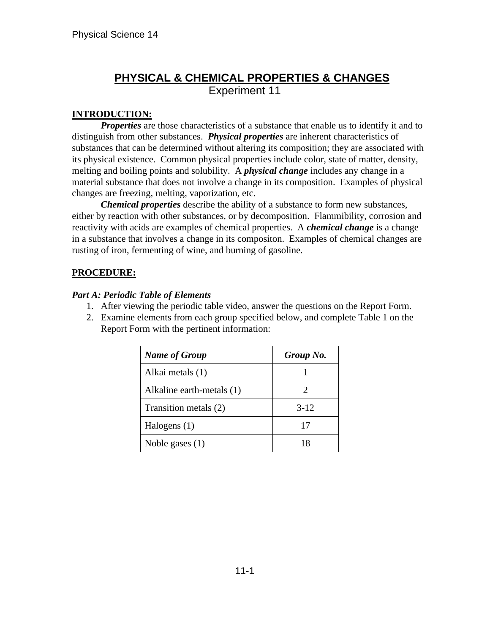# **PHYSICAL & CHEMICAL PROPERTIES & CHANGES** Experiment 11

### **INTRODUCTION:**

*Properties* are those characteristics of a substance that enable us to identify it and to distinguish from other substances. *Physical properties* are inherent characteristics of substances that can be determined without altering its composition; they are associated with its physical existence. Common physical properties include color, state of matter, density, melting and boiling points and solubility. A *physical change* includes any change in a material substance that does not involve a change in its composition. Examples of physical changes are freezing, melting, vaporization, etc.

*Chemical properties* describe the ability of a substance to form new substances, either by reaction with other substances, or by decomposition. Flammibility, corrosion and reactivity with acids are examples of chemical properties. A *chemical change* is a change in a substance that involves a change in its compositon. Examples of chemical changes are rusting of iron, fermenting of wine, and burning of gasoline.

### **PROCEDURE:**

#### *Part A: Periodic Table of Elements*

- 1. After viewing the periodic table video, answer the questions on the Report Form.
- 2. Examine elements from each group specified below, and complete Table 1 on the Report Form with the pertinent information:

| <b>Name of Group</b>      | Group No. |
|---------------------------|-----------|
| Alkai metals (1)          |           |
| Alkaline earth-metals (1) | 2         |
| Transition metals (2)     | $3-12$    |
| Halogens $(1)$            | 17        |
| Noble gases $(1)$         | 18        |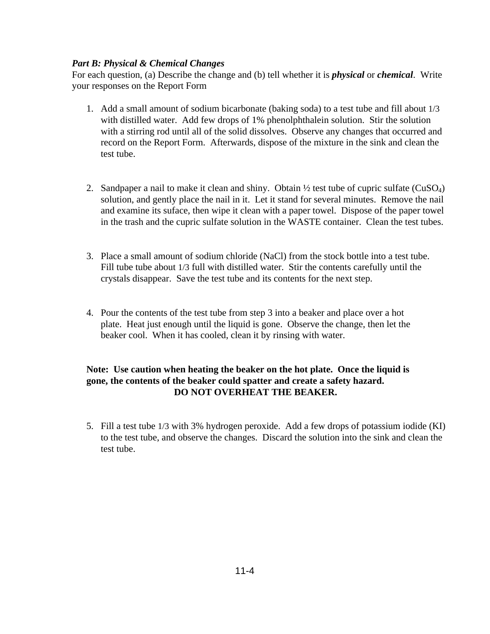#### *Part B: Physical & Chemical Changes*

For each question, (a) Describe the change and (b) tell whether it is *physical* or *chemical*. Write your responses on the Report Form

- 1. Add a small amount of sodium bicarbonate (baking soda) to a test tube and fill about 1/3 with distilled water. Add few drops of 1% phenolphthalein solution. Stir the solution with a stirring rod until all of the solid dissolves. Observe any changes that occurred and record on the Report Form. Afterwards, dispose of the mixture in the sink and clean the test tube.
- 2. Sandpaper a nail to make it clean and shiny. Obtain  $\frac{1}{2}$  test tube of cupric sulfate (CuSO<sub>4</sub>) solution, and gently place the nail in it. Let it stand for several minutes. Remove the nail and examine its suface, then wipe it clean with a paper towel. Dispose of the paper towel in the trash and the cupric sulfate solution in the WASTE container. Clean the test tubes.
- 3. Place a small amount of sodium chloride (NaCl) from the stock bottle into a test tube. Fill tube tube about 1/3 full with distilled water. Stir the contents carefully until the crystals disappear. Save the test tube and its contents for the next step.
- 4. Pour the contents of the test tube from step 3 into a beaker and place over a hot plate. Heat just enough until the liquid is gone. Observe the change, then let the beaker cool. When it has cooled, clean it by rinsing with water.

#### **Note: Use caution when heating the beaker on the hot plate. Once the liquid is gone, the contents of the beaker could spatter and create a safety hazard. DO NOT OVERHEAT THE BEAKER.**

5. Fill a test tube 1/3 with 3% hydrogen peroxide. Add a few drops of potassium iodide (KI) to the test tube, and observe the changes. Discard the solution into the sink and clean the test tube.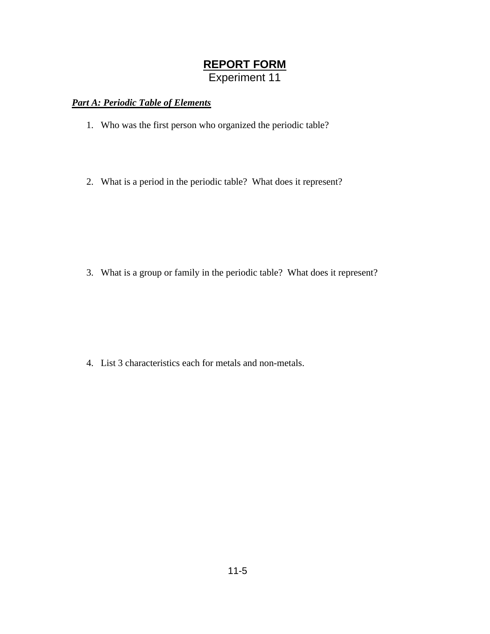# **REPORT FORM** Experiment 11

### *Part A: Periodic Table of Elements*

- 1. Who was the first person who organized the periodic table?
- 2. What is a period in the periodic table? What does it represent?

3. What is a group or family in the periodic table? What does it represent?

4. List 3 characteristics each for metals and non-metals.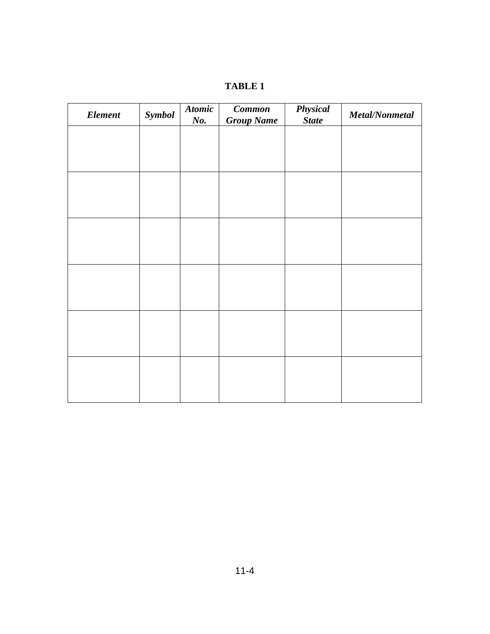| ., |  |
|----|--|
|----|--|

| <b>Element</b> | Symbol | <b>Atomic</b><br>No. | Common<br><b>Group Name</b> | Physical<br><b>State</b> | Metal/Nonmetal |
|----------------|--------|----------------------|-----------------------------|--------------------------|----------------|
|                |        |                      |                             |                          |                |
|                |        |                      |                             |                          |                |
|                |        |                      |                             |                          |                |
|                |        |                      |                             |                          |                |
|                |        |                      |                             |                          |                |
|                |        |                      |                             |                          |                |
|                |        |                      |                             |                          |                |
|                |        |                      |                             |                          |                |
|                |        |                      |                             |                          |                |
|                |        |                      |                             |                          |                |
|                |        |                      |                             |                          |                |
|                |        |                      |                             |                          |                |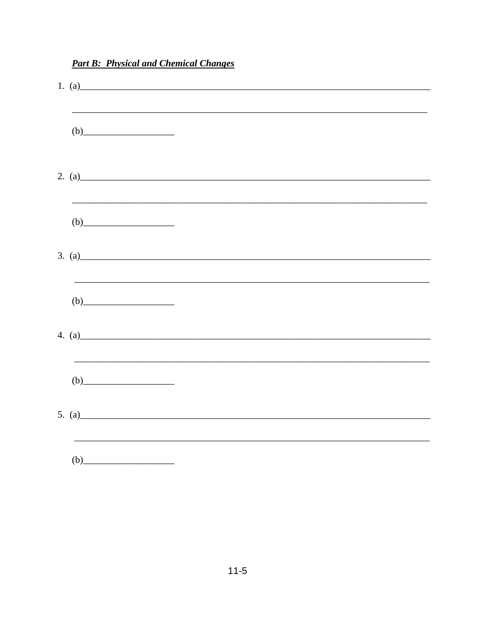| (b)                             |
|---------------------------------|
|                                 |
|                                 |
|                                 |
| (b)                             |
| 4. (a) $\overline{\phantom{a}}$ |
|                                 |
|                                 |
|                                 |

## **Part B: Physical and Chemical Changes**